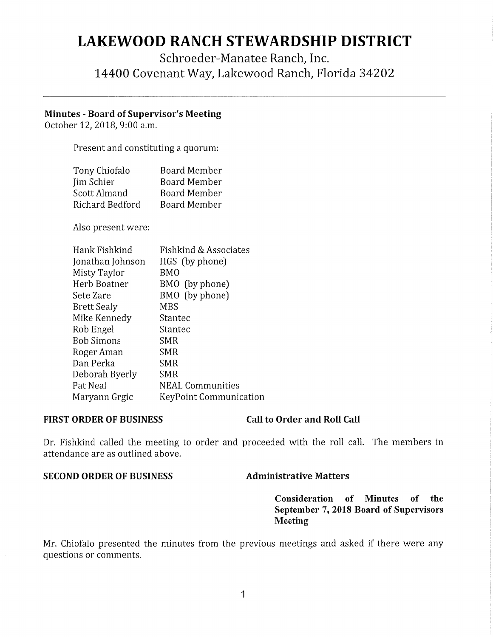# **LAKEWOOD RANCH STEWARDSHIP DISTRICT**

# Schroeder-Manatee Ranch, Inc. 14400 Covenant Way, Lakewood Ranch, Florida 34202

### **Minutes** - **Board of Supervisor's Meeting**

October 12, 2018, 9:00 a.m.

Present and constituting a quorum:

| Tony Chiofalo   | <b>Board Member</b> |
|-----------------|---------------------|
| Jim Schier      | <b>Board Member</b> |
| Scott Almand    | <b>Board Member</b> |
| Richard Bedford | <b>Board Member</b> |

Also present were:

| Hank Fishkind      | Fishkind & Associates   |
|--------------------|-------------------------|
| Jonathan Johnson   | HGS (by phone)          |
| Misty Taylor       | BMO                     |
| Herb Boatner       | BMO (by phone)          |
| Sete Zare          | BMO (by phone)          |
| <b>Brett Sealy</b> | MBS                     |
| Mike Kennedy       | Stantec                 |
| Rob Engel          | Stantec                 |
| <b>Bob Simons</b>  | SMR                     |
| Roger Aman         | SMR                     |
| Dan Perka          | SMR                     |
| Deborah Byerly     | <b>SMR</b>              |
| Pat Neal           | <b>NEAL Communities</b> |
| Maryann Grgic      | KeyPoint Communication  |

### FIRST ORDER OF BUSINESS Call to Order and Roll Call

Dr. Fishkind called the meeting to order and proceeded with the roll call. The members in attendance are as outlined above.

### **SECOND ORDER OF BUSINESS** Administrative Matters

**Consideration of Minutes of the September** 7, **2018 Board of Supervisors Meeting** 

Mr. Chiofalo presented the minutes from the previous meetings and asked if there were any questions or comments.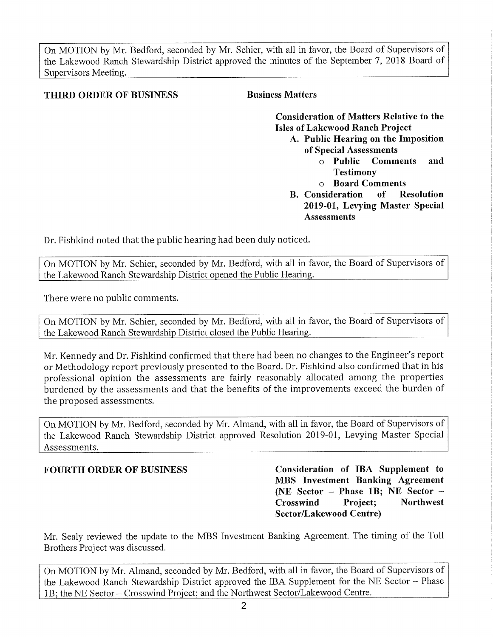On MOTION by Mr. Bedford, seconded by Mr. Schier, with all in favor, the Board of Supervisors of the Lakewood Ranch Stewardship District approved the minutes of the September 7, 2018 Board of Supervisors Meeting.

### **THIRD ORDER OF BUSINESS Business Matters**

**Consideration of Matters Relative to the Isles of Lakewood Ranch Project** 

- **A. Public Hearing on the Imposition of Special Assessments** 
	- <sup>o</sup>**Public Comments and Testimony**
	- <sup>o</sup>**Board Comments**
- **B. Consideration of Resolution 2019-01, Levying Master Special Assessments**

Dr. Fishkind noted that the public hearing had been duly noticed.

On MOTION by Mr. Schier, seconded by Mr. Bedford, with all in favor, the Board of Supervisors of the Lakewood Ranch Stewardship District opened the Public Hearing.

There were no public comments.

On MOTION by Mr. Schier, seconded by Mr. Bedford, with all in favor, the Board of Supervisors of the Lakewood Ranch Stewardship District closed the Public Hearing.

Mr. Kennedy and Dr. Fishkind confirmed that there had been no changes to the Engineer's repor<sup>t</sup> or Methodology report previously presented to the Board. Dr. Fishkind also confirmed that in his professional opinion the assessments are fairly reasonably allocated among the properties burdened by the assessments and that the benefits of the improvements exceed the burden of the proposed assessments.

On MOTION by Mr. Bedford, seconded by Mr. Almand, with all in favor, the Board of Supervisors of the Lakewood Ranch Stewardship District approved Resolution 2019-01, Levying Master Special Assessments.

**FOURTH ORDER OF BUSINESS Consideration of IBA Supplement to MBS Investment Banking Agreement (NE Sector - Phase lB; NE Sector** - **Crosswind Project; Northwest Sector/Lakewood Centre)** 

Mr. Sealy reviewed the update to the MBS Investment Banking Agreement. The timing of the Toll Brothers Project was discussed.

On MOTION by Mr. Almand, seconded by Mr. Bedford, with all in favor, the Board of Supervisors of the Lakewood Ranch Stewardship District approved the IBA Supplement for the NE Sector - Phase 1B; the NE Sector - Crosswind Project; and the Northwest Sector/Lakewood Centre.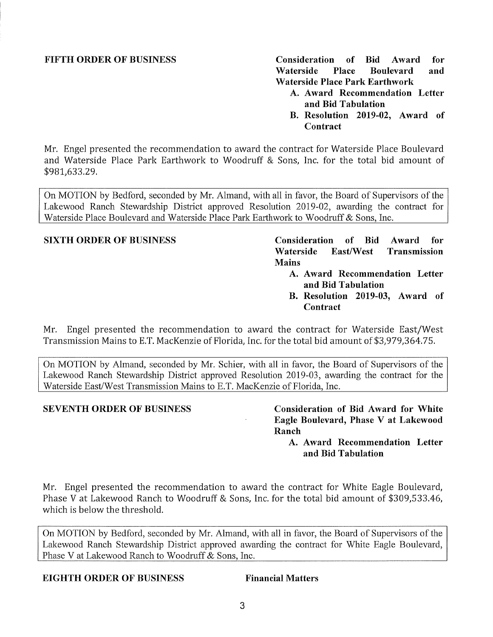**FIFTH ORDER OF BUSINESS Consideration of Bid Award for Waterside Place Boulevard and Waterside Place Park Earthwork** 

- **A. Award Recommendation Letter and Bid Tabulation**
- **B. Resolution 2019-02, Award of Contract**

Mr. Engel presented the recommendation to award the contract for Waterside Place Boulevard and Waterside Place Park Earthwork to Woodruff & Sons, Inc. for the total bid amount of \$[981,633.29](https://981,633.29).

On MOTION by Bedford, seconded by Mr. Almand, with all in favor, the Board of Supervisors of the Lakewood Ranch Stewardship District approved Resolution 2019-02, awarding the contract for Waterside Place Boulevard and Waterside Place Park Earthwork to Woodruff & Sons, Inc.

**SIXTH ORDER OF BUSINESS Consideration of Bid Award for Waterside East/West Transmission Mains** 

- **A. Award Recommendation Letter and Bid Tabulation**
- **B. Resolution 2019-03, Award of Contract**

Mr. Engel presented the recommendation to award the contract for Waterside East/West Transmission Mains to E.T. MacKenzie of Florida, Inc. for the total bid amount of \$[3,979,364.75](https://3,979,364.75).

On MOTION by Almand, seconded by Mr. Schier, with all in favor, the Board of Supervisors of the Lakewood Ranch Stewardship District approved Resolution 2019-03, awarding the contract for the Waterside East/West Transmission Mains to E.T. MacKenzie of Florida, Inc.

**SEVENTH ORDER OF BUSINESS Consideration of Bid Award for White Eagle Boulevard, Phase V at Lakewood Ranch** 

**A. Award Recommendation Letter and Bid Tabulation** 

Mr. Engel presented the recommendation to award the contract for White Eagle Boulevard, Phase Vat Lakewood Ranch to Woodruff & Sons, Inc. for the total bid amount of \$[309,533.46](https://309,533.46), which is below the threshold.

On MOTION by Bedford, seconded by Mr. Almand, with all in favor, the Board of Supervisors of the Lakewood Ranch Stewardship District approved awarding the contract for White Eagle Boulevard, Phase V at Lakewood Ranch to Woodruff & Sons, Inc.

### **EIGHTH ORDER OF BUSINESS Financial Matters**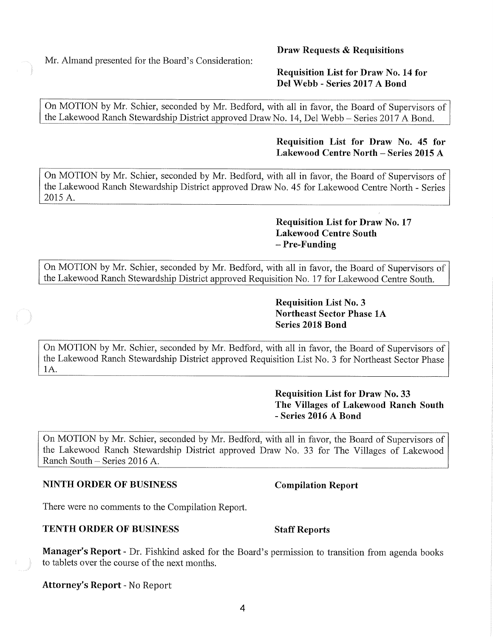**4** 

Mr. Almand presented for the Board's Consideration:

## **Draw Requests & Requisitions**

### **Requisition List for Draw No. 14 for Del Webb - Series 2017 A Bond**

On MOTION by Mr. Schier, seconded by Mr. Bedford, with all in favor, the Board of Supervisors of the Lakewood Ranch Stewardship District approved Draw No. 14, Del Webb - Series 2017 A Bond.

### **Requisition List for Draw No. 45 for Lakewood Centre North-Series 2015 A**

On MOTION by Mr. Schier, seconded by Mr. Bedford, with all in favor, the Board of Supervisors of the Lakewood Ranch Stewardship District approved Draw No. 45 for Lakewood Centre North - Series 2015 A.

### **Requisition List for Draw No. 17 Lakewood Centre South Pre-Funding**

On MOTION by Mr. Schier, seconded by Mr. Bedford, with all in favor, the Board of Supervisors of the Lakewood Ranch Stewardship District approved Requisition No. 17 for Lakewood Centre South.

### **Requisition List No. 3 Northeast Sector Phase lA Series 2018 Bond**

On MOTION by Mr. Schier, seconded by Mr. Bedford, with all in favor, the Board of Supervisors of the Lakewood Ranch Stewardship District approved Requisition List No. 3 for Northeast Sector Phase IA.

> **Requisition List for Draw No. 33 The Villages of Lakewood Ranch South**  - **Series 2016 A Bond**

On MOTION by Mr. Schier, seconded by Mr. Bedford, with all in favor, the Board of Supervisors of the Lakewood Ranch Stewardship District approved Draw No. 33 for The Villages of Lakewood Ranch South - Series 2016 A.

### **NINTH ORDER OF BUSINESS Compilation Report**

There were no comments to the Compilation Report.

### **TENTH ORDER OF BUSINESS** Staff Reports

**Manager's Report-** Dr. Fishkind asked for the Board's permission to transition from agenda books to tablets over the course of the next months.

**Attorney's Report-** No Report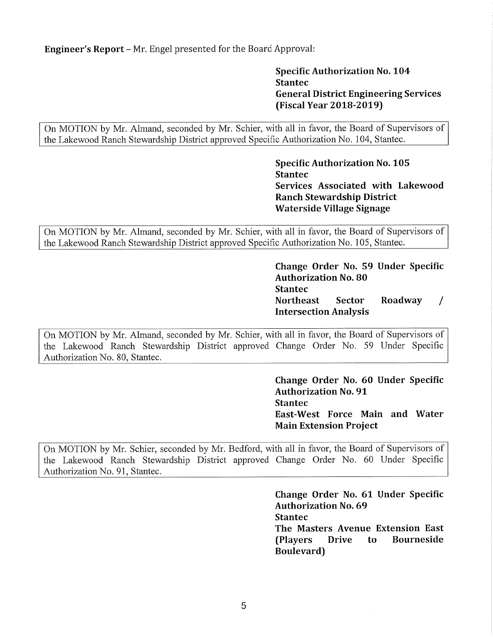**Engineer's Report** - Mr. Engel presented for the Board Approval:

**Specific Authorization No. 104 Stantec General District Engineering Services (Fiscal Year 2018-2019)** 

On MOTION by Mr. Almand, seconded by Mr. Schier, with all in favor, the Board of Supervisors of the Lakewood Ranch Stewardship District approved Specific Authorization No. 104, Stantec.

> **Specific Authorization No. 105 Stantec Services Associated with Lakewood Ranch Stewardship District Waterside Village Signage**

On MOTION by Mr. Almand, seconded by Mr. Schier, with all in favor, the Board of Supervisors of the Lakewood Ranch Stewardship District approved Specific Authorization No. 105, Stantec.

> **Change Order No. 59 Under Specific Authorization No. 80 Stantec Northeast Sector Roadway Intersection Analysis**  *I*

On MOTION by Mr. Almand, seconded by Mr. Schier, with all in favor, the Board of Supervisors of the Lakewood Ranch Stewardship District approved Change Order No. 59 Under Specific Authorization No. 80, Stantec.

> **Change Order No. 60 Under Specific Authorization No. 91 Stantec East-West Force Main and Water Main Extension Project**

On MOTION by Mr. Schier, seconded by Mr. Bedford, with all in favor, the Board of Supervisors of the Lakewood Ranch Stewardship District approved Change Order No. 60 Under Specific Authorization No. 91, Stantec.

> **Change Order No. 61 Under Specific Authorization No. 69 Stantec The Masters Avenue Extension East (Players Drive to Bourneside Boulevard)**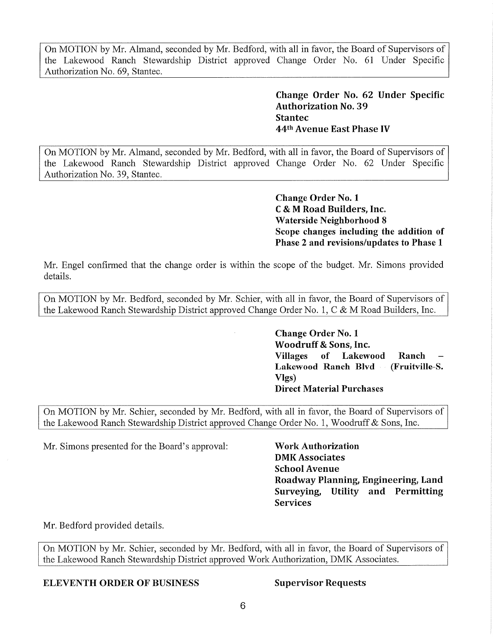On MOTION by Mr. Almand, seconded by Mr. Bedford, with all in favor, the Board of Supervisors of the Lakewood Ranch Stewardship District approved Change Order No. 61 Under Specific Authorization No. 69, Stantec.

> **Change Order No. 62 Under Specific Authorization No. 39 Stantec**  44th **Avenue East Phase IV**

On MOTION by Mr. Almand, seconded by Mr. Bedford, with all in favor, the Board of Supervisors of the Lakewood Ranch Stewardship District approved Change Order No. 62 Under Specific Authorization No. 39, Stantec.

> **Change Order No. 1 C**& **M Road Builders, Inc. Waterside Neighborhood 8 Scope changes including the addition of Phase 2 and revisions/updates to Phase 1**

Mr. Engel confirmed that the change order is within the scope of the budget. Mr. Simons provided details.

On MOTION by Mr. Bedford, seconded by Mr. Schier, with all in favor, the Board of Supervisors of the Lakewood Ranch Stewardship District approved Change Order No. 1, C & M Road Builders, Inc.

> **Change Order No. 1 Woodruff** & **Sons, Inc. Villages of Lakewood Ranch Lakewood Ranch Blvd** - **(Fruitville-S. Vlgs) Direct Material Purchases**

On MOTION by Mr. Schier, seconded by Mr. Bedford, with all in favor, the Board of Supervisors of the Lakewood Ranch Stewardship District approved Change Order No. 1, Woodruff & Sons, Inc.

Mr. Simons presented for the Board's approval: **Work Authorization** 

**DMK Associates School Avenue Roadway Planning, Engineering, Land Surveying, Utility and Permitting Services** 

Mr. Bedford provided details.

On MOTION by Mr. Schier, seconded by Mr. Bedford, with all in favor, the Board of Supervisors of the Lakewood Ranch Stewardship District approved Work Authorization, DMK Associates.

**ELEVENTH ORDER OF BUSINESS Supervisor Requests**